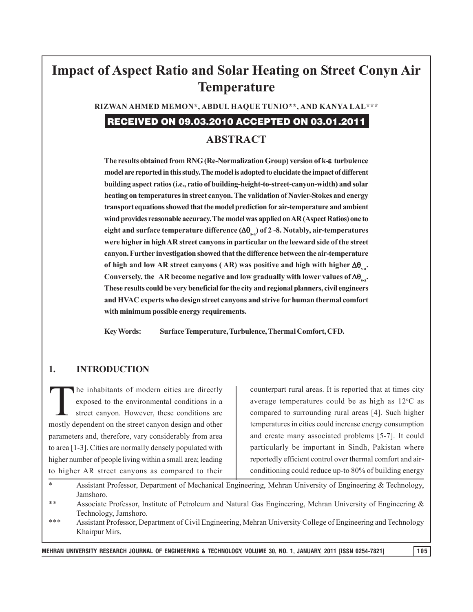# **Impact of Aspect Ratio and Solar Heating on Street Conyn Air Temperature**

**RIZWAN AHMED MEMON\*, ABDUL HAQUE TUNIO\*\*, AND KANYA LAL\*\*\***

# RECEIVED ON 09.03.2010 ACCEPTED ON 03.01.2011

## **ABSTRACT**

**The results obtained from RNG (Re-Normalization Group) version of k- turbulence model are reported in this study. The model is adopted to elucidate the impact of different building aspect ratios (i.e., ratio of building-height-to-street-canyon-width) and solar heating on temperatures in street canyon. The validation of Navier-Stokes and energy transport equations showed that the model prediction for air-temperature and ambient wind provides reasonable accuracy. The model was applied on AR (Aspect Ratios) one to** eight and surface temperature difference  $(\Delta\theta_{s})$  of 2-8. Notably, air-temperatures **were higher in high AR street canyons in particular on the leeward side of the street canyon. Further investigation showed that the difference between the air-temperature of high and low AR street canyons (AR) was positive and high with higher**  $\Delta\theta$ **...** Conversely, the AR become negative and low gradually with lower values of  $\Delta\theta_{\rm sat}$ . **These results could be very beneficial for the city and regional planners, civil engineers and HVAC experts who design street canyons and strive for human thermal comfort with minimum possible energy requirements.**

**Key Words: Surface Temperature, Turbulence, Thermal Comfort, CFD.**

#### **1. INTRODUCTION**

The inhabitants of modern cities are directly<br>exposed to the environmental conditions in a<br>street canyon. However, these conditions are exposed to the environmental conditions in a street canyon. However, these conditions are mostly dependent on the street canyon design and other parameters and, therefore, vary considerably from area to area [1-3]. Cities are normally densely populated with higher number of people living within a small area; leading to higher AR street canyons as compared to their

counterpart rural areas. It is reported that at times city average temperatures could be as high as  $12^{\circ}$ C as compared to surrounding rural areas [4]. Such higher temperatures in cities could increase energy consumption and create many associated problems [5-7]. It could particularly be important in Sindh, Pakistan where reportedly efficient control over thermal comfort and airconditioning could reduce up-to 80% of building energy

- Assistant Professor, Department of Mechanical Engineering, Mehran University of Engineering & Technology, Jamshoro.
- \*\* Associate Professor, Institute of Petroleum and Natural Gas Engineering, Mehran University of Engineering & Technology, Jamshoro.
- \*\*\* Assistant Professor, Department of Civil Engineering, Mehran University College of Engineering and Technology Khairpur Mirs.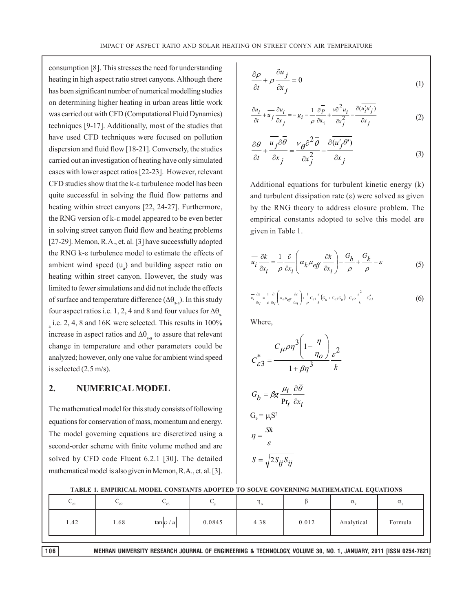consumption [8]. This stresses the need for understanding heating in high aspect ratio street canyons. Although there has been significant number of numerical modelling studies on determining higher heating in urban areas little work was carried out with CFD (Computational Fluid Dynamics) techniques [9-17]. Additionally, most of the studies that have used CFD techniques were focused on pollution dispersion and fluid flow [18-21]. Conversely, the studies carried out an investigation of heating have only simulated cases with lower aspect ratios [22-23]. However, relevant  $CFD$  studies show that the k- $\varepsilon$  turbulence model has been quite successful in solving the fluid flow patterns and heating within street canyons [22, 24-27]. Furthermore, the RNG version of  $k$ - $\varepsilon$  model appeared to be even better in solving street canyon fluid flow and heating problems [27-29]. Memon, R.A., et. al. [3] have successfully adopted the RNG k- $\varepsilon$  turbulence model to estimate the effects of ambient wind speed  $(u_a)$  and building aspect ratio on heating within street canyon. However, the study was limited to fewer simulations and did not include the effects of surface and temperature difference  $(\Delta \theta)$ . In this study four aspect ratios i.e. 1, 2, 4 and 8 and four values for  $\Delta\theta$ .  $_{\rm a}$  i.e. 2, 4, 8 and 16K were selected. This results in 100% increase in aspect ratios and  $\Delta\theta_{\rm sa}$  to assure that relevant change in temperature and other parameters could be analyzed; however, only one value for ambient wind speed is selected (2.5 m/s).

#### **2. NUMERICAL MODEL**

The mathematical model for this study consists of following equations for conservation of mass, momentum and energy. The model governing equations are discretized using a second-order scheme with finite volume method and are solved by CFD code Fluent 6.2.1 [30]. The detailed mathematical model is also given in Memon, R.A., et. al. [3].

$$
\frac{\partial \rho}{\partial t} + \rho \frac{\partial u_j}{\partial x_j} = 0
$$
 (1)

$$
\frac{\partial \overline{u_i}}{\partial t} + \overline{u_j} \frac{\partial \overline{u_i}}{\partial x_j} = -g_i - \frac{1}{\rho} \frac{\partial \overline{p}}{\partial x_i} + \frac{v \partial^2 \overline{u_i}}{\partial x_j^2} - \frac{\partial (\overline{u_i' u_j})}{\partial x_j}
$$
(2)

$$
\frac{\partial \overline{\theta}}{\partial t} + \frac{\overline{u_j} \partial \overline{\theta}}{\partial x_j} = \frac{v_{\theta} \partial^2 \overline{\theta}}{\partial x_j^2} - \frac{\partial (\overline{u'_j \theta'})}{\partial x_j}
$$
(3)

Additional equations for turbulent kinetic energy (k) and turbulent dissipation rate  $(\epsilon)$  were solved as given by the RNG theory to address closure problem. The empirical constants adopted to solve this model are given in Table 1.

$$
\overline{u_i} \frac{\partial k}{\partial x_i} = \frac{1}{\rho} \frac{\partial}{\partial x_i} \left( \alpha_k \mu_{eff} \frac{\partial k}{\partial x_i} \right) + \frac{G_b}{\rho} + \frac{G_k}{\rho} - \varepsilon \tag{5}
$$

$$
\frac{1}{u_i} \frac{\partial \varepsilon}{\partial x_i} = \frac{1}{\rho} \frac{\partial}{\partial x_i} \left( \alpha_{\varepsilon} \mu_{\text{eff}} \frac{\partial \varepsilon}{\partial x_i} \right) + \frac{1}{\rho} C_{\varepsilon 1} \frac{\varepsilon}{k} \left( G_k + C_{\varepsilon 3} G_b \right) - C_{\varepsilon 2} \frac{\varepsilon^2}{k} - C_{\varepsilon 3}^* \tag{6}
$$

Where,

$$
C_{\varepsilon 3}^{*} = \frac{C_{\mu}\rho\eta^{3}\left(1 - \frac{\eta}{\eta_{o}}\right)}{1 + \beta\eta^{3}}\frac{\varepsilon^{2}}{k}
$$
  

$$
G_{b} = \beta g \frac{\mu_{t}}{Pr_{t}} \frac{\partial \overline{\theta}}{\partial x_{i}}
$$
  

$$
G_{k} = \mu_{t}S^{2}
$$
  

$$
\eta = \frac{Sk}{\varepsilon}
$$
  

$$
S = \sqrt{2S_{ij}S_{ij}}
$$

|     | TADLE 1, ENITINICAL MODEL CONSTANTS ADOITED TO SOLVE GOVENNING MATHEMATICAL EQUATIONS |         |        |      |       |            |          |
|-----|---------------------------------------------------------------------------------------|---------|--------|------|-------|------------|----------|
|     |                                                                                       |         |        |      |       | α,         | $\alpha$ |
| .42 | . 68                                                                                  | tan v/u | 0.0845 | 4.38 | 0.012 | Analytical | Formula  |

| TABLE 1. EMPIRICAL MODEL CONSTANTS ADOPTED TO SOLVE GOVERNING MATHEMATICAL EQUATIONS |
|--------------------------------------------------------------------------------------|
|--------------------------------------------------------------------------------------|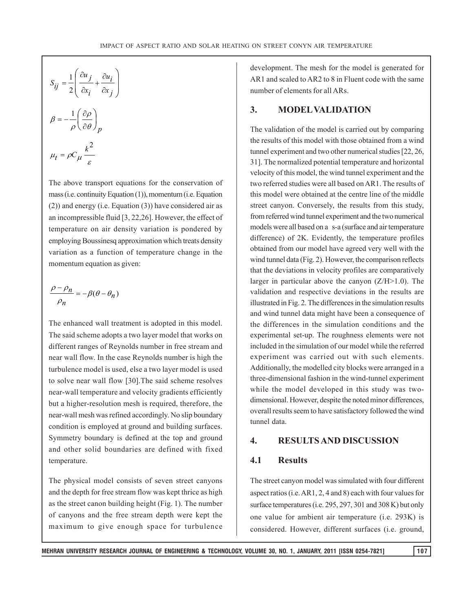$$
S_{ij} = \frac{1}{2} \left( \frac{\partial u_j}{\partial x_i} + \frac{\partial u_i}{\partial x_j} \right)
$$
  

$$
\beta = -\frac{1}{\rho} \left( \frac{\partial \rho}{\partial \theta} \right)_p
$$
  

$$
\mu_t = \rho C_\mu \frac{k^2}{\varepsilon}
$$

The above transport equations for the conservation of mass (i.e. continuity Equation (1)), momentum (i.e. Equation (2)) and energy (i.e. Equation (3)) have considered air as an incompressible fluid [3, 22,26]. However, the effect of temperature on air density variation is pondered by employing Boussinesq approximation which treats density variation as a function of temperature change in the momentum equation as given:

$$
\frac{\rho-\rho_n}{\rho_n}=-\beta(\theta-\theta_n)
$$

The enhanced wall treatment is adopted in this model. The said scheme adopts a two layer model that works on different ranges of Reynolds number in free stream and near wall flow. In the case Reynolds number is high the turbulence model is used, else a two layer model is used to solve near wall flow [30].The said scheme resolves near-wall temperature and velocity gradients efficiently but a higher-resolution mesh is required, therefore, the near-wall mesh was refined accordingly. No slip boundary condition is employed at ground and building surfaces. Symmetry boundary is defined at the top and ground and other solid boundaries are defined with fixed temperature.

The physical model consists of seven street canyons and the depth for free stream flow was kept thrice as high as the street canon building height (Fig. 1). The number of canyons and the free stream depth were kept the maximum to give enough space for turbulence development. The mesh for the model is generated for AR1 and scaled to AR2 to 8 in Fluent code with the same number of elements for all ARs.

#### **3. MODEL VALIDATION**

The validation of the model is carried out by comparing the results of this model with those obtained from a wind tunnel experiment and two other numerical studies [22, 26, 31]. The normalized potential temperature and horizontal velocity of this model, the wind tunnel experiment and the two referred studies were all based on AR1. The results of this model were obtained at the centre line of the middle street canyon. Conversely, the results from this study, from referred wind tunnel experiment and the two numerical models were all based on a s-a (surface and air temperature difference) of 2K. Evidently, the temperature profiles obtained from our model have agreed very well with the wind tunnel data (Fig. 2). However, the comparison reflects that the deviations in velocity profiles are comparatively larger in particular above the canyon  $(Z/H>1.0)$ . The validation and respective deviations in the results are illustrated in Fig. 2. The differences in the simulation results and wind tunnel data might have been a consequence of the differences in the simulation conditions and the experimental set-up. The roughness elements were not included in the simulation of our model while the referred experiment was carried out with such elements. Additionally, the modelled city blocks were arranged in a three-dimensional fashion in the wind-tunnel experiment while the model developed in this study was twodimensional. However, despite the noted minor differences, overall results seem to have satisfactory followed the wind tunnel data.

#### **4. RESULTS AND DISCUSSION**

#### **4.1 Results**

The street canyon model was simulated with four different aspect ratios (i.e. AR1, 2, 4 and 8) each with four values for surface temperatures (i.e. 295, 297, 301 and 308 K) but only one value for ambient air temperature (i.e. 293K) is considered. However, different surfaces (i.e. ground,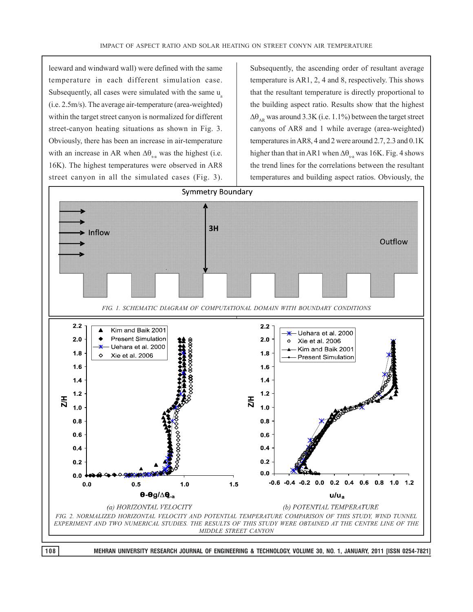leeward and windward wall) were defined with the same temperature in each different simulation case. Subsequently, all cases were simulated with the same u<sub>s</sub> (i.e. 2.5m/s). The average air-temperature (area-weighted) within the target street canyon is normalized for different street-canyon heating situations as shown in Fig. 3. Obviously, there has been an increase in air-temperature with an increase in AR when  $\Delta\theta_{\text{eq}}$  was the highest (i.e. 16K). The highest temperatures were observed in AR8 street canyon in all the simulated cases (Fig. 3).

Subsequently, the ascending order of resultant average temperature is AR1, 2, 4 and 8, respectively. This shows that the resultant temperature is directly proportional to the building aspect ratio. Results show that the highest  $\Delta\theta_{\rm AR}$  was around 3.3K (i.e. 1.1%) between the target street canyons of AR8 and 1 while average (area-weighted) temperatures in AR8, 4 and 2 were around 2.7, 2.3 and 0.1K higher than that in AR1 when  $\Delta\theta_{\text{eq}}$  was 16K. Fig. 4 shows the trend lines for the correlations between the resultant temperatures and building aspect ratios. Obviously, the

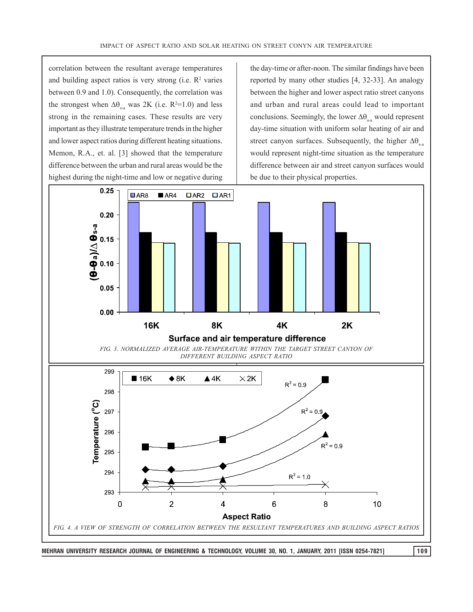correlation between the resultant average temperatures and building aspect ratios is very strong (i.e.  $\mathbb{R}^2$  varies between 0.9 and 1.0). Consequently, the correlation was the strongest when  $\Delta\theta_{s-a}$  was 2K (i.e. R<sup>2</sup>=1.0) and less strong in the remaining cases. These results are very important as they illustrate temperature trends in the higher and lower aspect ratios during different heating situations. Memon, R.A., et. al. [3] showed that the temperature difference between the urban and rural areas would be the highest during the night-time and low or negative during

the day-time or after-noon. The similar findings have been reported by many other studies [4, 32-33]. An analogy between the higher and lower aspect ratio street canyons and urban and rural areas could lead to important conclusions. Seemingly, the lower  $\Delta\theta_{s-a}$  would represent day-time situation with uniform solar heating of air and street canyon surfaces. Subsequently, the higher  $\Delta\theta_{ss}$ would represent night-time situation as the temperature difference between air and street canyon surfaces would be due to their physical properties.

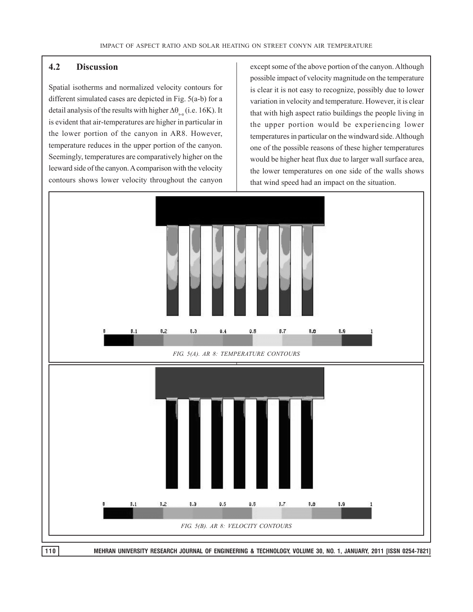#### **4.2 Discussion**

Spatial isotherms and normalized velocity contours for different simulated cases are depicted in Fig. 5(a-b) for a detail analysis of the results with higher  $\Delta\theta_{\rm{eq}}$  (i.e. 16K). It is evident that air-temperatures are higher in particular in the lower portion of the canyon in AR8. However, temperature reduces in the upper portion of the canyon. Seemingly, temperatures are comparatively higher on the leeward side of the canyon. A comparison with the velocity contours shows lower velocity throughout the canyon except some of the above portion of the canyon. Although possible impact of velocity magnitude on the temperature is clear it is not easy to recognize, possibly due to lower variation in velocity and temperature. However, it is clear that with high aspect ratio buildings the people living in the upper portion would be experiencing lower temperatures in particular on the windward side. Although one of the possible reasons of these higher temperatures would be higher heat flux due to larger wall surface area, the lower temperatures on one side of the walls shows that wind speed had an impact on the situation.

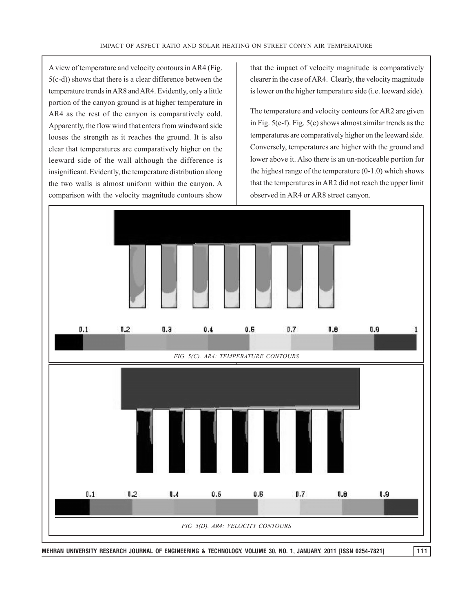A view of temperature and velocity contours in AR4 (Fig. 5(c-d)) shows that there is a clear difference between the temperature trends in AR8 and AR4. Evidently, only a little portion of the canyon ground is at higher temperature in AR4 as the rest of the canyon is comparatively cold. Apparently, the flow wind that enters from windward side looses the strength as it reaches the ground. It is also clear that temperatures are comparatively higher on the leeward side of the wall although the difference is insignificant. Evidently, the temperature distribution along the two walls is almost uniform within the canyon. A comparison with the velocity magnitude contours show that the impact of velocity magnitude is comparatively clearer in the case of AR4. Clearly, the velocity magnitude is lower on the higher temperature side (i.e. leeward side).

The temperature and velocity contours for AR2 are given in Fig. 5(e-f). Fig. 5(e) shows almost similar trends as the temperatures are comparatively higher on the leeward side. Conversely, temperatures are higher with the ground and lower above it. Also there is an un-noticeable portion for the highest range of the temperature  $(0-1.0)$  which shows that the temperatures in AR2 did not reach the upper limit observed in AR4 or AR8 street canyon.

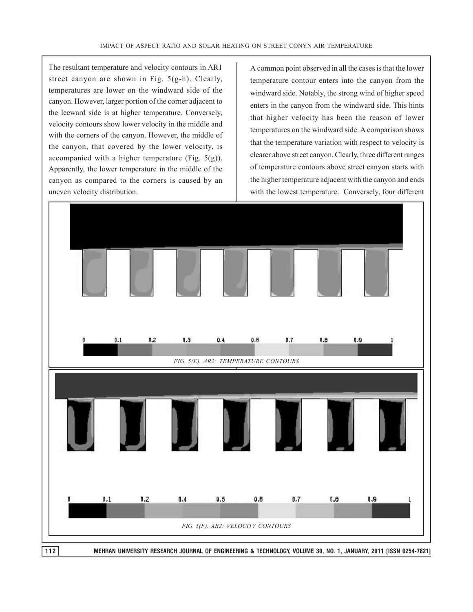The resultant temperature and velocity contours in AR1 street canyon are shown in Fig. 5(g-h). Clearly, temperatures are lower on the windward side of the canyon. However, larger portion of the corner adjacent to the leeward side is at higher temperature. Conversely, velocity contours show lower velocity in the middle and with the corners of the canyon. However, the middle of the canyon, that covered by the lower velocity, is accompanied with a higher temperature (Fig.  $5(g)$ ). Apparently, the lower temperature in the middle of the canyon as compared to the corners is caused by an uneven velocity distribution.

A common point observed in all the cases is that the lower temperature contour enters into the canyon from the windward side. Notably, the strong wind of higher speed enters in the canyon from the windward side. This hints that higher velocity has been the reason of lower temperatures on the windward side. A comparison shows that the temperature variation with respect to velocity is clearer above street canyon. Clearly, three different ranges of temperature contours above street canyon starts with the higher temperature adjacent with the canyon and ends with the lowest temperature. Conversely, four different

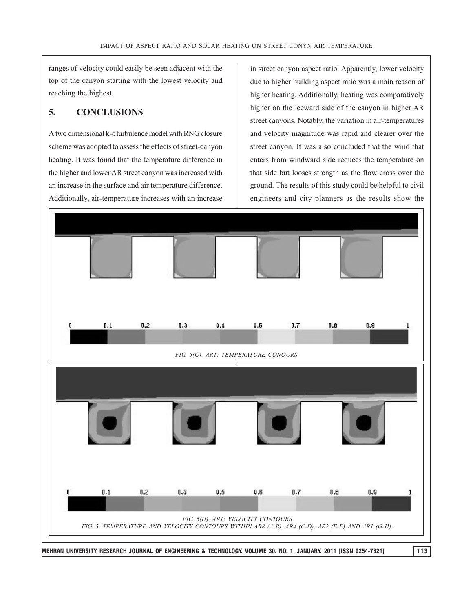ranges of velocity could easily be seen adjacent with the top of the canyon starting with the lowest velocity and reaching the highest.

### **5. CONCLUSIONS**

A two dimensional k- $\varepsilon$  turbulence model with RNG closure scheme was adopted to assess the effects of street-canyon heating. It was found that the temperature difference in the higher and lower AR street canyon was increased with an increase in the surface and air temperature difference. Additionally, air-temperature increases with an increase

in street canyon aspect ratio. Apparently, lower velocity due to higher building aspect ratio was a main reason of higher heating. Additionally, heating was comparatively higher on the leeward side of the canyon in higher AR street canyons. Notably, the variation in air-temperatures and velocity magnitude was rapid and clearer over the street canyon. It was also concluded that the wind that enters from windward side reduces the temperature on that side but looses strength as the flow cross over the ground. The results of this study could be helpful to civil engineers and city planners as the results show the

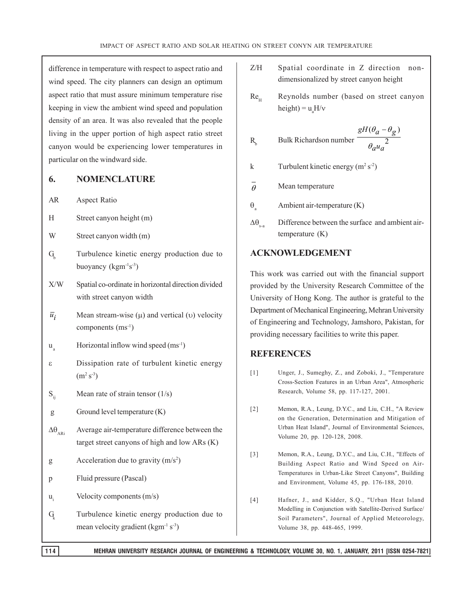difference in temperature with respect to aspect ratio and wind speed. The city planners can design an optimum aspect ratio that must assure minimum temperature rise keeping in view the ambient wind speed and population density of an area. It was also revealed that the people living in the upper portion of high aspect ratio street canyon would be experiencing lower temperatures in particular on the windward side.

#### **6. NOMENCLATURE**

- AR Aspect Ratio
- H Street canyon height (m)
- W Street canyon width (m)
- $G<sub>k</sub>$  Turbulence kinetic energy production due to buoyancy  $(kgm<sup>-1</sup>s<sup>-3</sup>)$
- X/W Spatial co-ordinate in horizontal direction divided with street canyon width
- $\overline{u}_i$  Mean stream-wise ( $\mu$ ) and vertical ( $\nu$ ) velocity components (ms<sup>-1</sup>)
- $u<sub>a</sub>$  Horizontal inflow wind speed (ms<sup>-1</sup>)
- Dissipation rate of turbulent kinetic energy  $(m^2 s^3)$
- $S_{ii}$  Mean rate of strain tensor (1/s)
- g Ground level temperature (K)
- $\Delta\theta_{_{\rm AB}}$  Average air-temperature difference between the target street canyons of high and low ARs (K)
- g Acceleration due to gravity  $(m/s<sup>2</sup>)$
- p Fluid pressure (Pascal)
- $u_i$  Velocity components  $(m/s)$
- G<sub>k</sub> Turbulence kinetic energy production due to mean velocity gradient ( $\text{kgm}^{-1} \text{ s}^{-3}$ )
- Z/H Spatial coordinate in Z direction nondimensionalized by street canyon height
- $Re<sub>u</sub>$  Reynolds number (based on street canyon height) =  $u_aH/v$

$$
R_b
$$
 Bulk Richardson number 
$$
\frac{gH(\theta_a - \theta_g)}{\theta_a u_a^2}
$$

- k Turbulent kinetic energy  $(m^2 s^2)$
- $\overline{\theta}$  Mean temperature
- $\theta$  Ambient air-temperature (K)
- $\Delta\theta$  Difference between the surface and ambient airtemperature (K)

#### **ACKNOWLEDGEMENT**

This work was carried out with the financial support provided by the University Research Committee of the University of Hong Kong. The author is grateful to the Department of Mechanical Engineering, Mehran University of Engineering and Technology, Jamshoro, Pakistan, for providing necessary facilities to write this paper.

#### **REFERENCES**

- [1] Unger, J., Sumeghy, Z., and Zoboki, J., "Temperature Cross-Section Features in an Urban Area", Atmospheric Research, Volume 58, pp. 117-127, 2001.
- [2] Memon, R.A., Leung, D.Y.C., and Liu, C.H., "A Review on the Generation, Determination and Mitigation of Urban Heat Island", Journal of Environmental Sciences, Volume 20, pp. 120-128, 2008.
- [3] Memon, R.A., Leung, D.Y.C., and Liu, C.H., "Effects of Building Aspect Ratio and Wind Speed on Air-Temperatures in Urban-Like Street Canyons", Building and Environment, Volume 45, pp. 176-188, 2010.
- [4] Hafner, J., and Kidder, S.Q., "Urban Heat Island Modelling in Conjunction with Satellite-Derived Surface/ Soil Parameters", Journal of Applied Meteorology, Volume 38, pp. 448-465, 1999.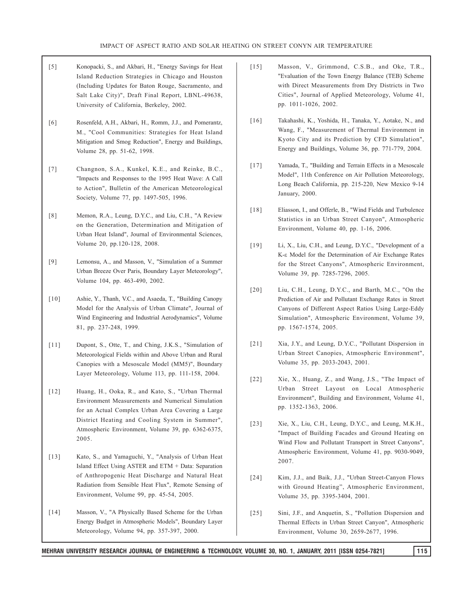- [5] Konopacki, S., and Akbari, H., "Energy Savings for Heat Island Reduction Strategies in Chicago and Houston (Including Updates for Baton Rouge, Sacramento, and Salt Lake City)", Draft Final Report, LBNL-49638, University of California, Berkeley, 2002.
- [6] Rosenfeld, A.H., Akbari, H., Romm, J.J., and Pomerantz, M., "Cool Communities: Strategies for Heat Island Mitigation and Smog Reduction", Energy and Buildings, Volume 28, pp. 51-62, 1998.
- [7] Changnon, S.A., Kunkel, K.E., and Reinke, B.C., "Impacts and Responses to the 1995 Heat Wave: A Call to Action", Bulletin of the American Meteorological Society, Volume 77, pp. 1497-505, 1996.
- [8] Memon, R.A., Leung, D.Y.C., and Liu, C.H., "A Review on the Generation, Determination and Mitigation of Urban Heat Island", Journal of Environmental Sciences, Volume 20, pp.120-128, 2008.
- [9] Lemonsu, A., and Masson, V., "Simulation of a Summer Urban Breeze Over Paris, Boundary Layer Meteorology", Volume 104, pp. 463-490, 2002.
- [10] Ashie, Y., Thanh, V.C., and Asaeda, T., "Building Canopy Model for the Analysis of Urban Climate", Journal of Wind Engineering and Industrial Aerodynamics", Volume 81, pp. 237-248, 1999.
- [11] Dupont, S., Otte, T., and Ching, J.K.S., "Simulation of Meteorological Fields within and Above Urban and Rural Canopies with a Mesoscale Model (MM5)", Boundary Layer Meteorology, Volume 113, pp. 111-158, 2004.
- [12] Huang, H., Ooka, R., and Kato, S., "Urban Thermal Environment Measurements and Numerical Simulation for an Actual Complex Urban Area Covering a Large District Heating and Cooling System in Summer", Atmospheric Environment, Volume 39, pp. 6362-6375, 2005.
- [13] Kato, S., and Yamaguchi, Y., "Analysis of Urban Heat Island Effect Using ASTER and ETM + Data: Separation of Anthropogenic Heat Discharge and Natural Heat Radiation from Sensible Heat Flux", Remote Sensing of Environment, Volume 99, pp. 45-54, 2005.
- [14] Masson, V., "A Physically Based Scheme for the Urban Energy Budget in Atmospheric Models", Boundary Layer Meteorology, Volume 94, pp. 357-397, 2000.
- [15] Masson, V., Grimmond, C.S.B., and Oke, T.R., "Evaluation of the Town Energy Balance (TEB) Scheme with Direct Measurements from Dry Districts in Two Cities", Journal of Applied Meteorology, Volume 41, pp. 1011-1026, 2002.
- [16] Takahashi, K., Yoshida, H., Tanaka, Y., Aotake, N., and Wang, F., "Measurement of Thermal Environment in Kyoto City and its Prediction by CFD Simulation", Energy and Buildings, Volume 36, pp. 771-779, 2004.
- [17] Yamada, T., "Building and Terrain Effects in a Mesoscale Model", 11th Conference on Air Pollution Meteorology, Long Beach California, pp. 215-220, New Mexico 9-14 January, 2000.
- [18] Eliasson, I., and Offerle, B., "Wind Fields and Turbulence Statistics in an Urban Street Canyon", Atmospheric Environment, Volume 40, pp. 1-16, 2006.
- [19] Li, X., Liu, C.H., and Leung, D.Y.C., "Development of a K-ε Model for the Determination of Air Exchange Rates for the Street Canyons", Atmospheric Environment, Volume 39, pp. 7285-7296, 2005.
- [20] Liu, C.H., Leung, D.Y.C., and Barth, M.C., "On the Prediction of Air and Pollutant Exchange Rates in Street Canyons of Different Aspect Ratios Using Large-Eddy Simulation", Atmospheric Environment, Volume 39, pp. 1567-1574, 2005.
- [21] Xia, J.Y., and Leung, D.Y.C., "Pollutant Dispersion in Urban Street Canopies, Atmospheric Environment", Volume 35, pp. 2033-2043, 2001.
- [22] Xie, X., Huang, Z., and Wang, J.S., "The Impact of Urban Street Layout on Local Atmospheric Environment", Building and Environment, Volume 41, pp. 1352-1363, 2006.
- [23] Xie, X., Liu, C.H., Leung, D.Y.C., and Leung, M.K.H., "Impact of Building Facades and Ground Heating on Wind Flow and Pollutant Transport in Street Canyons", Atmospheric Environment, Volume 41, pp. 9030-9049, 2007.
- [24] Kim, J.J., and Baik, J.J., "Urban Street-Canyon Flows with Ground Heating", Atmospheric Environment, Volume 35, pp. 3395-3404, 2001.
- [25] Sini, J.F., and Anquetin, S., "Pollution Dispersion and Thermal Effects in Urban Street Canyon", Atmospheric Environment, Volume 30, 2659-2677, 1996.